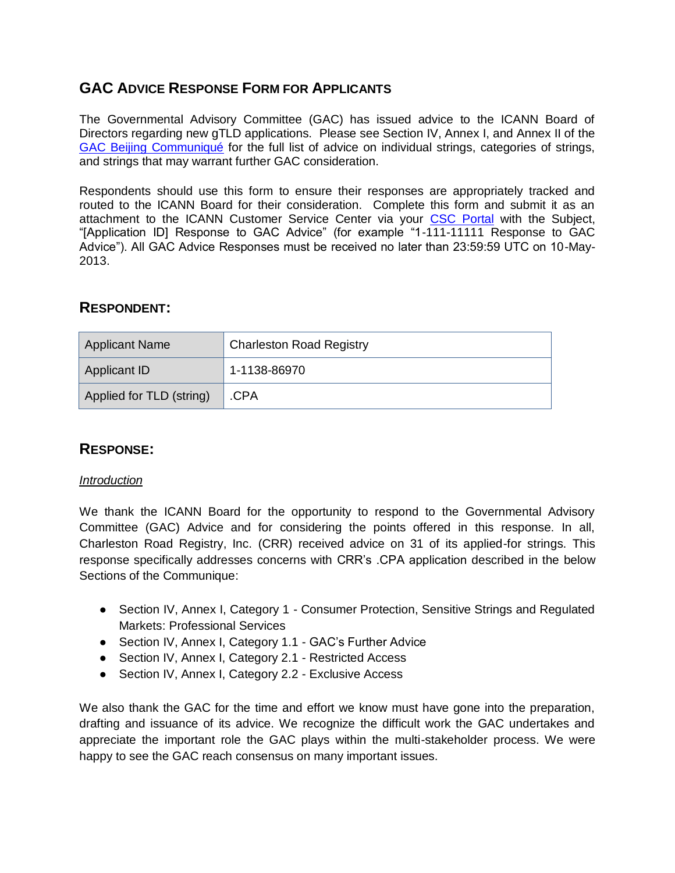# **GAC ADVICE RESPONSE FORM FOR APPLICANTS**

The Governmental Advisory Committee (GAC) has issued advice to the ICANN Board of Directors regarding new gTLD applications. Please see Section IV, Annex I, and Annex II of the [GAC Beijing Communiqué](http://www.icann.org/en/news/correspondence/gac-to-board-18apr13-en.pdf) for the full list of advice on individual strings, categories of strings, and strings that may warrant further GAC consideration.

Respondents should use this form to ensure their responses are appropriately tracked and routed to the ICANN Board for their consideration. Complete this form and submit it as an attachment to the ICANN Customer Service Center via your [CSC Portal](https://myicann.secure.force.com/) with the Subject, "[Application ID] Response to GAC Advice" (for example "1-111-11111 Response to GAC Advice"). All GAC Advice Responses must be received no later than 23:59:59 UTC on 10-May-2013.

## **RESPONDENT:**

| Applicant Name           | <b>Charleston Road Registry</b> |  |
|--------------------------|---------------------------------|--|
| Applicant ID             | 1-1138-86970                    |  |
| Applied for TLD (string) | .CPA                            |  |

## **RESPONSE:**

#### *Introduction*

We thank the ICANN Board for the opportunity to respond to the Governmental Advisory Committee (GAC) Advice and for considering the points offered in this response. In all, Charleston Road Registry, Inc. (CRR) received advice on 31 of its applied-for strings. This response specifically addresses concerns with CRR's .CPA application described in the below Sections of the Communique:

- Section IV, Annex I, Category 1 Consumer Protection, Sensitive Strings and Regulated Markets: Professional Services
- Section IV, Annex I, Category 1.1 GAC's Further Advice
- Section IV, Annex I, Category 2.1 Restricted Access
- Section IV, Annex I, Category 2.2 Exclusive Access

We also thank the GAC for the time and effort we know must have gone into the preparation, drafting and issuance of its advice. We recognize the difficult work the GAC undertakes and appreciate the important role the GAC plays within the multi-stakeholder process. We were happy to see the GAC reach consensus on many important issues.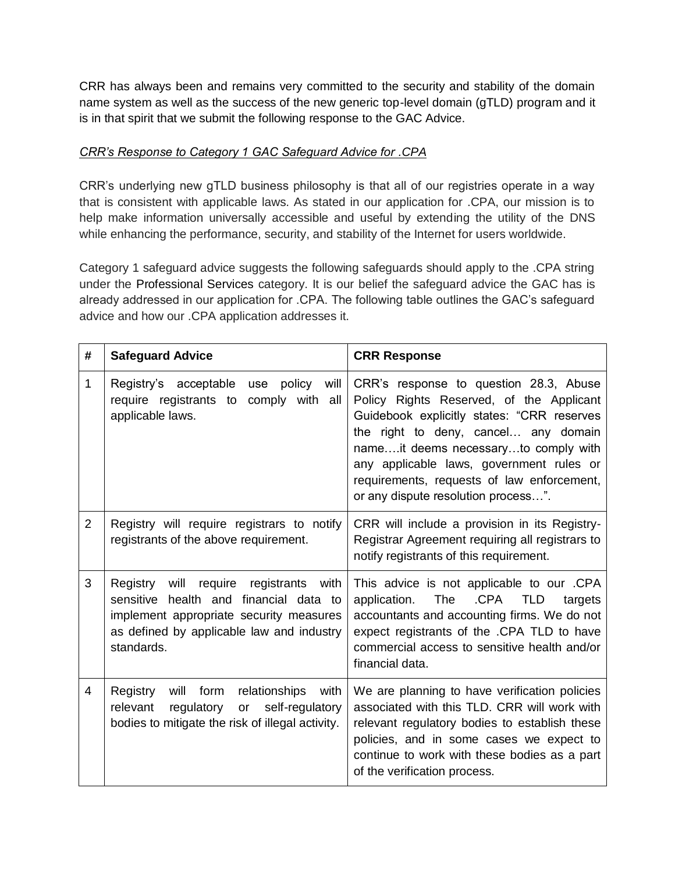CRR has always been and remains very committed to the security and stability of the domain name system as well as the success of the new generic top-level domain (gTLD) program and it is in that spirit that we submit the following response to the GAC Advice.

### *CRR's Response to Category 1 GAC Safeguard Advice for .CPA*

CRR's underlying new gTLD business philosophy is that all of our registries operate in a way that is consistent with applicable laws. As stated in our application for .CPA, our mission is to help make information universally accessible and useful by extending the utility of the DNS while enhancing the performance, security, and stability of the Internet for users worldwide.

Category 1 safeguard advice suggests the following safeguards should apply to the .CPA string under the Professional Services category. It is our belief the safeguard advice the GAC has is already addressed in our application for .CPA. The following table outlines the GAC's safeguard advice and how our .CPA application addresses it.

| # | <b>Safeguard Advice</b>                                                                                                                                                                   | <b>CRR Response</b>                                                                                                                                                                                                                                                                                                                               |
|---|-------------------------------------------------------------------------------------------------------------------------------------------------------------------------------------------|---------------------------------------------------------------------------------------------------------------------------------------------------------------------------------------------------------------------------------------------------------------------------------------------------------------------------------------------------|
| 1 | Registry's acceptable<br>policy<br>will<br>use<br>comply with<br>require registrants to<br>all<br>applicable laws.                                                                        | CRR's response to question 28.3, Abuse<br>Policy Rights Reserved, of the Applicant<br>Guidebook explicitly states: "CRR reserves<br>the right to deny, cancel any domain<br>nameit deems necessaryto comply with<br>any applicable laws, government rules or<br>requirements, requests of law enforcement,<br>or any dispute resolution process". |
| 2 | Registry will require registrars to notify<br>registrants of the above requirement.                                                                                                       | CRR will include a provision in its Registry-<br>Registrar Agreement requiring all registrars to<br>notify registrants of this requirement.                                                                                                                                                                                                       |
| 3 | Registry will require registrants<br>with<br>sensitive health and financial data to<br>implement appropriate security measures<br>as defined by applicable law and industry<br>standards. | This advice is not applicable to our .CPA<br>.CPA<br>application.<br>The<br><b>TLD</b><br>targets<br>accountants and accounting firms. We do not<br>expect registrants of the .CPA TLD to have<br>commercial access to sensitive health and/or<br>financial data.                                                                                 |
| 4 | Registry<br>will form<br>relationships<br>with<br>self-regulatory<br>relevant<br>regulatory<br><b>or</b><br>bodies to mitigate the risk of illegal activity.                              | We are planning to have verification policies<br>associated with this TLD. CRR will work with<br>relevant regulatory bodies to establish these<br>policies, and in some cases we expect to<br>continue to work with these bodies as a part<br>of the verification process.                                                                        |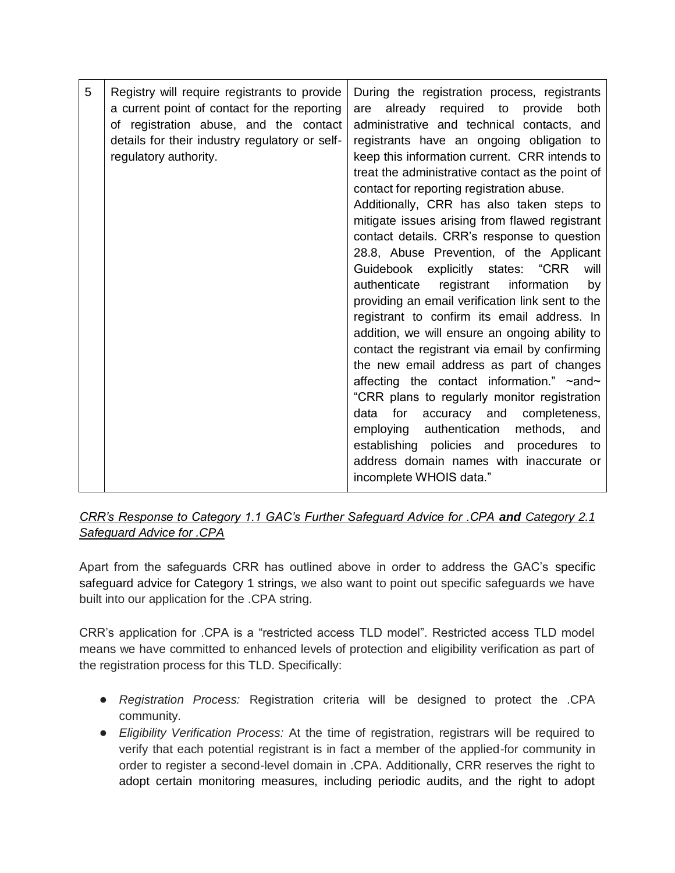| 5 | Registry will require registrants to provide<br>a current point of contact for the reporting<br>of registration abuse, and the contact<br>details for their industry regulatory or self-<br>regulatory authority. | During the registration process, registrants<br>already required to<br>provide<br>are<br>both<br>administrative and technical contacts, and<br>registrants have an ongoing obligation to<br>keep this information current. CRR intends to<br>treat the administrative contact as the point of<br>contact for reporting registration abuse.<br>Additionally, CRR has also taken steps to<br>mitigate issues arising from flawed registrant<br>contact details. CRR's response to question<br>28.8, Abuse Prevention, of the Applicant<br>Guidebook explicitly states: "CRR<br>will<br>registrant<br>information<br>authenticate<br>by<br>providing an email verification link sent to the<br>registrant to confirm its email address. In<br>addition, we will ensure an ongoing ability to<br>contact the registrant via email by confirming<br>the new email address as part of changes<br>affecting the contact information." ~and~<br>"CRR plans to regularly monitor registration<br>for<br>accuracy and<br>completeness,<br>data<br>employing authentication<br>methods, and<br>establishing policies and procedures to<br>address domain names with inaccurate or<br>incomplete WHOIS data." |
|---|-------------------------------------------------------------------------------------------------------------------------------------------------------------------------------------------------------------------|---------------------------------------------------------------------------------------------------------------------------------------------------------------------------------------------------------------------------------------------------------------------------------------------------------------------------------------------------------------------------------------------------------------------------------------------------------------------------------------------------------------------------------------------------------------------------------------------------------------------------------------------------------------------------------------------------------------------------------------------------------------------------------------------------------------------------------------------------------------------------------------------------------------------------------------------------------------------------------------------------------------------------------------------------------------------------------------------------------------------------------------------------------------------------------------------------|
|---|-------------------------------------------------------------------------------------------------------------------------------------------------------------------------------------------------------------------|---------------------------------------------------------------------------------------------------------------------------------------------------------------------------------------------------------------------------------------------------------------------------------------------------------------------------------------------------------------------------------------------------------------------------------------------------------------------------------------------------------------------------------------------------------------------------------------------------------------------------------------------------------------------------------------------------------------------------------------------------------------------------------------------------------------------------------------------------------------------------------------------------------------------------------------------------------------------------------------------------------------------------------------------------------------------------------------------------------------------------------------------------------------------------------------------------|

### *CRR's Response to Category 1.1 GAC's Further Safeguard Advice for .CPA and Category 2.1 Safeguard Advice for .CPA*

Apart from the safeguards CRR has outlined above in order to address the GAC's specific safeguard advice for Category 1 strings, we also want to point out specific safeguards we have built into our application for the .CPA string.

CRR's application for .CPA is a "restricted access TLD model". Restricted access TLD model means we have committed to enhanced levels of protection and eligibility verification as part of the registration process for this TLD. Specifically:

- *Registration Process:* Registration criteria will be designed to protect the .CPA community.
- *Eligibility Verification Process:* At the time of registration, registrars will be required to verify that each potential registrant is in fact a member of the applied-for community in order to register a second-level domain in .CPA. Additionally, CRR reserves the right to adopt certain monitoring measures, including periodic audits, and the right to adopt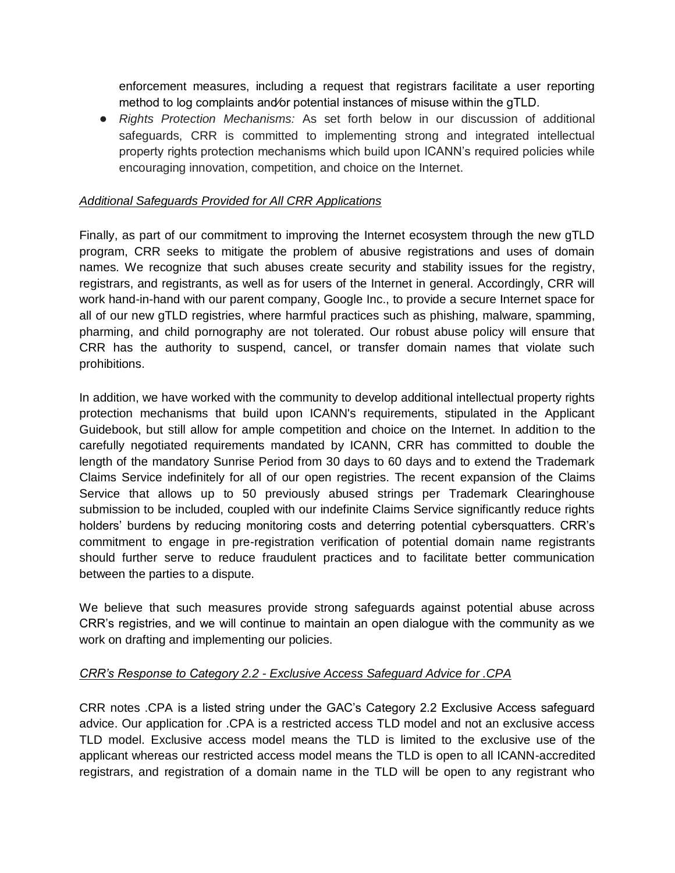enforcement measures, including a request that registrars facilitate a user reporting method to log complaints and⁄or potential instances of misuse within the gTLD.

● *Rights Protection Mechanisms:* As set forth below in our discussion of additional safeguards, CRR is committed to implementing strong and integrated intellectual property rights protection mechanisms which build upon ICANN's required policies while encouraging innovation, competition, and choice on the Internet.

#### *Additional Safeguards Provided for All CRR Applications*

Finally, as part of our commitment to improving the Internet ecosystem through the new gTLD program, CRR seeks to mitigate the problem of abusive registrations and uses of domain names. We recognize that such abuses create security and stability issues for the registry, registrars, and registrants, as well as for users of the Internet in general. Accordingly, CRR will work hand-in-hand with our parent company, Google Inc., to provide a secure Internet space for all of our new gTLD registries, where harmful practices such as phishing, malware, spamming, pharming, and child pornography are not tolerated. Our robust abuse policy will ensure that CRR has the authority to suspend, cancel, or transfer domain names that violate such prohibitions.

In addition, we have worked with the community to develop additional intellectual property rights protection mechanisms that build upon ICANN's requirements, stipulated in the Applicant Guidebook, but still allow for ample competition and choice on the Internet. In addition to the carefully negotiated requirements mandated by ICANN, CRR has committed to double the length of the mandatory Sunrise Period from 30 days to 60 days and to extend the Trademark Claims Service indefinitely for all of our open registries. The recent expansion of the Claims Service that allows up to 50 previously abused strings per Trademark Clearinghouse submission to be included, coupled with our indefinite Claims Service significantly reduce rights holders' burdens by reducing monitoring costs and deterring potential cybersquatters. CRR's commitment to engage in pre-registration verification of potential domain name registrants should further serve to reduce fraudulent practices and to facilitate better communication between the parties to a dispute.

We believe that such measures provide strong safeguards against potential abuse across CRR's registries, and we will continue to maintain an open dialogue with the community as we work on drafting and implementing our policies.

#### *CRR's Response to Category 2.2 - Exclusive Access Safeguard Advice for .CPA*

CRR notes .CPA is a listed string under the GAC's Category 2.2 Exclusive Access safeguard advice. Our application for .CPA is a restricted access TLD model and not an exclusive access TLD model. Exclusive access model means the TLD is limited to the exclusive use of the applicant whereas our restricted access model means the TLD is open to all ICANN-accredited registrars, and registration of a domain name in the TLD will be open to any registrant who